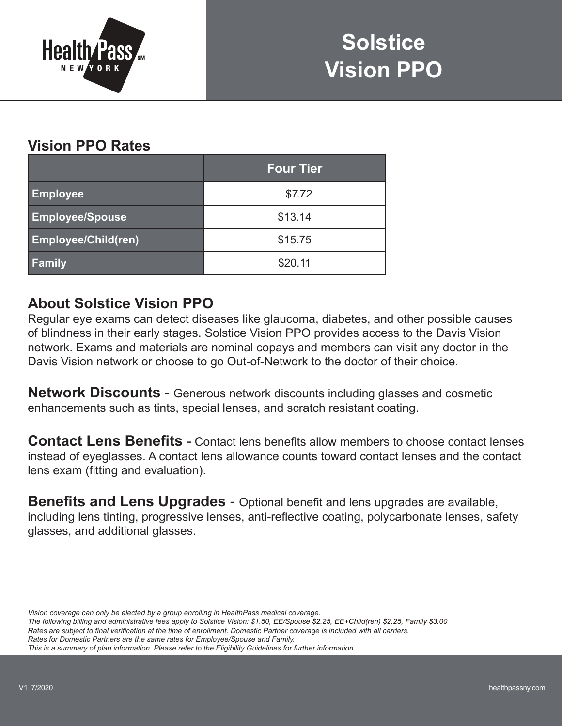

## **Vision PPO Rates**

|                            | <b>Four Tier</b> |  |
|----------------------------|------------------|--|
| <b>Employee</b>            | \$7.72           |  |
| <b>Employee/Spouse</b>     | \$13.14          |  |
| <b>Employee/Child(ren)</b> | \$15.75          |  |
| <b>Family</b>              | \$20.11          |  |

## **About Solstice Vision PPO**

Regular eye exams can detect diseases like glaucoma, diabetes, and other possible causes of blindness in their early stages. Solstice Vision PPO provides access to the Davis Vision network. Exams and materials are nominal copays and members can visit any doctor in the Davis Vision network or choose to go Out-of-Network to the doctor of their choice.

**Network Discounts** - Generous network discounts including glasses and cosmetic enhancements such as tints, special lenses, and scratch resistant coating.

**Contact Lens Benefits** - Contact lens benefits allow members to choose contact lenses instead of eyeglasses. A contact lens allowance counts toward contact lenses and the contact lens exam (fitting and evaluation).

**Benefits and Lens Upgrades** - Optional benefit and lens upgrades are available, including lens tinting, progressive lenses, anti-reflective coating, polycarbonate lenses, safety glasses, and additional glasses.

*Vision coverage can only be elected by a group enrolling in HealthPass medical coverage.*

*The following billing and administrative fees apply to Solstice Vision: \$1.50, EE/Spouse \$2.25, EE+Child(ren) \$2.25, Family \$3.00*

*Rates are subject to final verification at the time of enrollment. Domestic Partner coverage is included with all carriers.*

*Rates for Domestic Partners are the same rates for Employee/Spouse and Family.*

*This is a summary of plan information. Please refer to the Eligibility Guidelines for further information.*